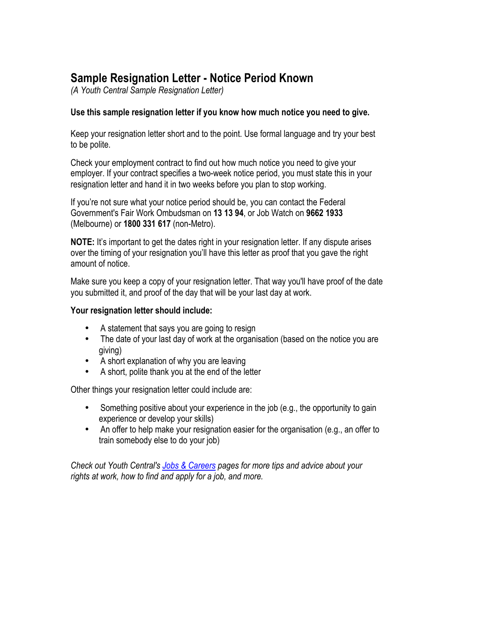## **Sample Resignation Letter - Notice Period Known**

*(A Youth Central Sample Resignation Letter)*

## **Use this sample resignation letter if you know how much notice you need to give.**

Keep your resignation letter short and to the point. Use formal language and try your best to be polite.

Check your employment contract to find out how much notice you need to give your employer. If your contract specifies a two-week notice period, you must state this in your resignation letter and hand it in two weeks before you plan to stop working.

If you're not sure what your notice period should be, you can contact the Federal Government's Fair Work Ombudsman on **13 13 94**, or Job Watch on **9662 1933**  (Melbourne) or **1800 331 617** (non-Metro).

**NOTE:** It's important to get the dates right in your resignation letter. If any dispute arises over the timing of your resignation you'll have this letter as proof that you gave the right amount of notice.

Make sure you keep a copy of your resignation letter. That way you'll have proof of the date you submitted it, and proof of the day that will be your last day at work.

## **Your resignation letter should include:**

- A statement that says you are going to resign
- The date of your last day of work at the organisation (based on the notice you are giving)
- A short explanation of why you are leaving
- A short, polite thank you at the end of the letter

Other things your resignation letter could include are:

- Something positive about your experience in the job (e.g., the opportunity to gain experience or develop your skills)
- An offer to help make your resignation easier for the organisation (e.g., an offer to train somebody else to do your job)

*Check out Youth Central's Jobs & Careers pages for more tips and advice about your rights at work, how to find and apply for a job, and more.*